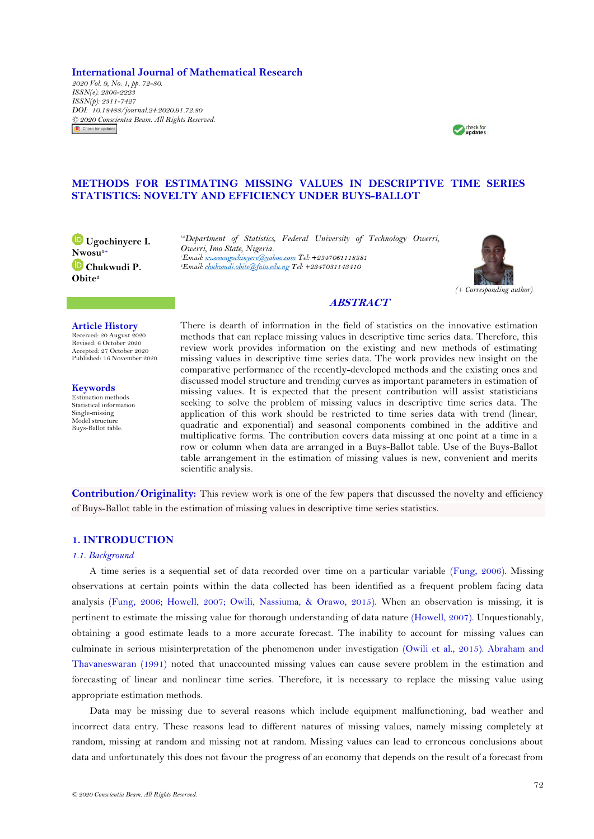**International Journal of Mathematical Research** *2020 Vol. 9, No. 1, pp. 72-80. ISSN(e): 2306-2223 ISSN(p): 2311-7427 DOI: 10.18488/journal.24.2020.91.72.80 © 2020 Conscientia Beam. All Rights Reserved.*Check for updates



# **METHODS FOR ESTIMATING MISSING VALUES IN DESCRIPTIVE TIME SERIES STATISTICS: NOVELTY AND EFFICIENCY UNDER BUYS-BALLOT**

**Ugochinyere I. Nwosu1+ Chukwudi P. Obite<sup>2</sup>**

*1,2Department of Statistics, Federal University of Technology Owerri, Owerri, Imo State, Nigeria.* <sup>2</sup>Email: chukwudi.obite@futo.edu.ng Tel: +2347031143410



# **ABSTRACT**

#### **Article History** Received: 20 August 2020

Revised: 6 October 2020 Accepted: 27 October 2020 Published: 16 November 2020

**Keywords** Estimation methods Statistical information Single-missing Model structure Buys-Ballot table.

There is dearth of information in the field of statistics on the innovative estimation methods that can replace missing values in descriptive time series data. Therefore, this review work provides information on the existing and new methods of estimating missing values in descriptive time series data. The work provides new insight on the comparative performance of the recently-developed methods and the existing ones and discussed model structure and trending curves as important parameters in estimation of missing values. It is expected that the present contribution will assist statisticians seeking to solve the problem of missing values in descriptive time series data. The application of this work should be restricted to time series data with trend (linear, quadratic and exponential) and seasonal components combined in the additive and multiplicative forms. The contribution covers data missing at one point at a time in a row or column when data are arranged in a Buys-Ballot table. Use of the Buys-Ballot table arrangement in the estimation of missing values is new, convenient and merits scientific analysis.

**Contribution/Originality:** This review work is one of the few papers that discussed the novelty and efficiency of Buys-Ballot table in the estimation of missing values in descriptive time series statistics.

## **1. INTRODUCTION**

### *1.1. Background*

A time series is a sequential set of data recorded over time on a particular variable [\(Fung, 2006\)](#page-7-0). Missing observations at certain points within the data collected has been identified as a frequent problem facing data analysis [\(Fung, 2006;](#page-7-0) [Howell, 2007;](#page-7-1) [Owili, Nassiuma, & Orawo, 2015\)](#page-7-2). When an observation is missing, it is pertinent to estimate the missing value for thorough understanding of data nature [\(Howell, 2007\)](#page-7-1). Unquestionably, obtaining a good estimate leads to a more accurate forecast. The inability to account for missing values can culminate in serious misinterpretation of the phenomenon under investigation [\(Owili et al., 2015\)](#page-7-2). [Abraham and](#page-7-3)  [Thavaneswaran \(1991\)](#page-7-3) noted that unaccounted missing values can cause severe problem in the estimation and forecasting of linear and nonlinear time series. Therefore, it is necessary to replace the missing value using appropriate estimation methods.

Data may be missing due to several reasons which include equipment malfunctioning, bad weather and incorrect data entry. These reasons lead to different natures of missing values, namely missing completely at random, missing at random and missing not at random. Missing values can lead to erroneous conclusions about data and unfortunately this does not favour the progress of an economy that depends on the result of a forecast from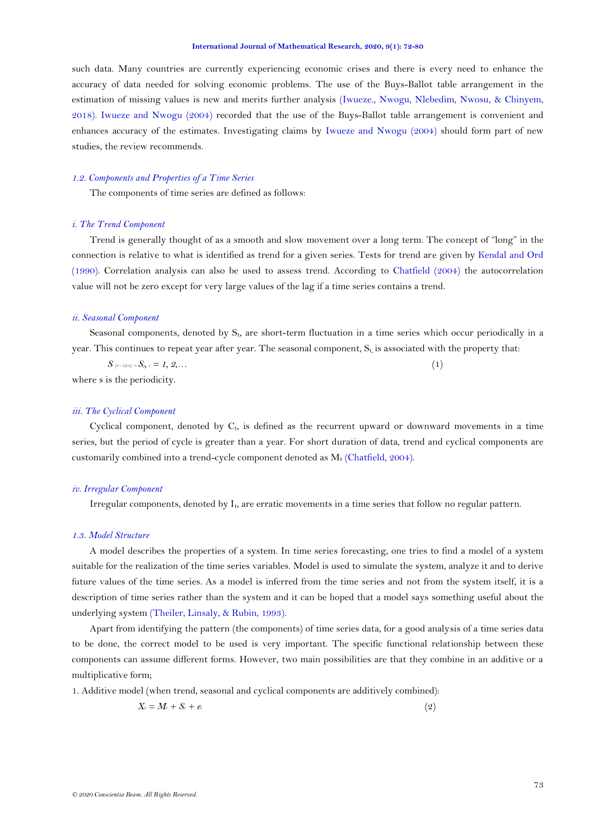#### **International Journal of Mathematical Research, 2020, 9(1): 72-80**

such data. Many countries are currently experiencing economic crises and there is every need to enhance the accuracy of data needed for solving economic problems. The use of the Buys-Ballot table arrangement in the estimation of missing values is new and merits further analysis [\(Iwueze., Nwogu, Nlebedim, Nwosu, & Chinyem,](#page-7-2)  [2018\)](#page-7-2). [Iwueze and Nwogu \(2004\)](#page-7-4) recorded that the use of the Buys-Ballot table arrangement is convenient and enhances accuracy of the estimates. Investigating claims by [Iwueze and Nwogu \(2004\)](#page-7-4) should form part of new studies, the review recommends.

### *1.2. Components and Properties of a Time Series*

The components of time series are defined as follows:

## *i. The Trend Component*

Trend is generally thought of as a smooth and slow movement over a long term. The concept of "long" in the connection is relative to what is identified as trend for a given series. Tests for trend are given by [Kendal and Ord](#page-7-2)  [\(1990\)](#page-7-2). Correlation analysis can also be used to assess trend. According to [Chatfield \(2004\)](#page-7-5) the autocorrelation value will not be zero except for very large values of the lag if a time series contains a trend.

#### *ii. Seasonal Component*

Seasonal components, denoted by S<sub>t</sub>, are short-term fluctuation in a time series which occur periodically in a year. This continues to repeat year after year. The seasonal component,  $S_t$  is associated with the property that:

 $S_{(i-j) \cdot j} = S_{j}, \quad i = 1, 2, \ldots$  (1) where s is the periodicity.

## *iii. The Cyclical Component*

Cyclical component, denoted by  $C_t$ , is defined as the recurrent upward or downward movements in a time series, but the period of cycle is greater than a year. For short duration of data, trend and cyclical components are customarily combined into a trend-cycle component denoted as  $M_t$  [\(Chatfield, 2004\)](#page-7-5).

#### *iv. Irregular Component*

Irregular components, denoted by It, are erratic movements in a time series that follow no regular pattern.

#### *1.3. Model Structure*

A model describes the properties of a system. In time series forecasting, one tries to find a model of a system suitable for the realization of the time series variables. Model is used to simulate the system, analyze it and to derive future values of the time series. As a model is inferred from the time series and not from the system itself, it is a description of time series rather than the system and it can be hoped that a model says something useful about the underlying system [\(Theiler, Linsaly, & Rubin, 1993\)](#page-8-0).

Apart from identifying the pattern (the components) of time series data, for a good analysis of a time series data to be done, the correct model to be used is very important. The specific functional relationship between these components can assume different forms. However, two main possibilities are that they combine in an additive or a multiplicative form;

1. Additive model (when trend, seasonal and cyclical components are additively combined):

$$
X_t = M_t + S_t + e_t \tag{2}
$$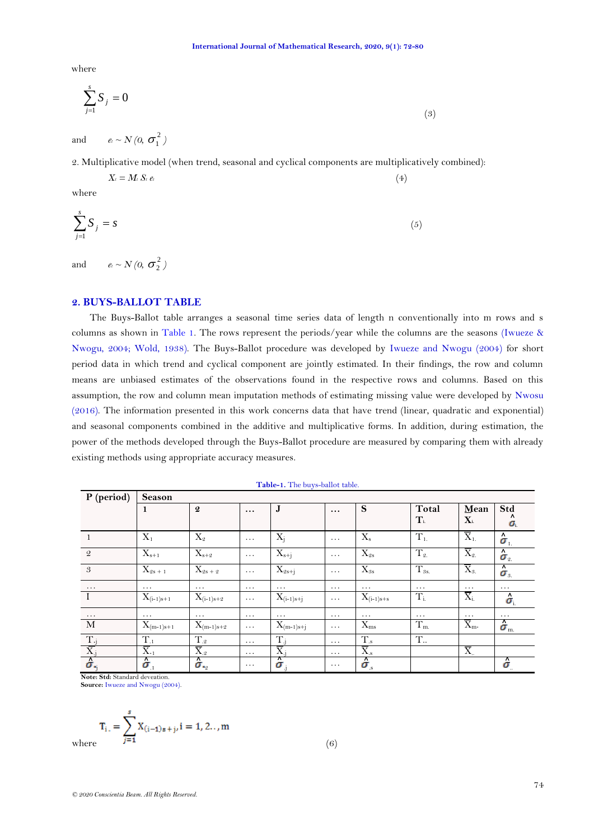where

$$
\sum_{j=1}^{s} S_j = 0 \tag{3}
$$

and  $e_t \sim N(0, \sigma_1^2)$ 

2. Multiplicative model (when trend, seasonal and cyclical components are multiplicatively combined):

$$
X_t = M_t S_t e_t \tag{4}
$$

where

$$
\sum_{j=1}^{s} S_j = s \tag{5}
$$

and  $e_t \sim N(0, \sigma_2^2)$ 

# **2. BUYS-BALLOT TABLE**

The Buys-Ballot table arranges a seasonal time series data of length n conventionally into m rows and s columns as shown in [Table 1.](#page-2-0) The rows represent the periods/year while the columns are the seasons [\(Iwueze &](#page-7-4)  [Nwogu, 2004;](#page-7-4) [Wold, 1938\)](#page-8-1). The Buys-Ballot procedure was developed by [Iwueze and Nwogu \(2004\)](#page-7-4) for short period data in which trend and cyclical component are jointly estimated. In their findings, the row and column means are unbiased estimates of the observations found in the respective rows and columns. Based on this assumption, the row and column mean imputation methods of estimating missing value were developed by [Nwosu](#page-7-2)  [\(2016\)](#page-7-2). The information presented in this work concerns data that have trend (linear, quadratic and exponential) and seasonal components combined in the additive and multiplicative forms. In addition, during estimation, the power of the methods developed through the Buys-Ballot procedure are measured by comparing them with already existing methods using appropriate accuracy measures.

<span id="page-2-0"></span>

| P (period)                                                                            | <b>Season</b>            |                              |          |                       |          |                  |                         |                         |                                 |
|---------------------------------------------------------------------------------------|--------------------------|------------------------------|----------|-----------------------|----------|------------------|-------------------------|-------------------------|---------------------------------|
|                                                                                       | $\mathbf{1}$             | $\boldsymbol{2}$             | $\cdots$ | J                     | $\cdots$ | S                | Total                   | Mean                    | Std                             |
|                                                                                       |                          |                              |          |                       |          |                  | $\mathbf{T}_{\text{i}}$ | $\mathbf{X}_{\text{i}}$ | Λ<br>ο.                         |
| -1                                                                                    | $X_1$                    | $\mathrm{X}_2$               | $\cdots$ | $X_i$                 | $\cdots$ | $X_{s}$          | $T_{1.}$                | $\overline{X}_1$        | $\hat{\boldsymbol{\sigma}}_1$   |
| 2                                                                                     | $X_{s+1}$                | $X_{s+2}$                    | $\ddots$ | $X_{s+j}$             | $\cdots$ | $X_{2s}$         | $T_{2}$                 | $\overline{X}_2$        | $\sigma_{\scriptscriptstyle 2}$ |
| 3                                                                                     | $X_{2s + 1}$             | $X_{2s + 2}$                 | $\cdots$ | $X_{2s+j}$            | $\cdots$ | $X_{3s}$         | $T_{.9s.}$              | $\overline{X}_3$        | $\hat{\boldsymbol{\sigma}}_{3}$ |
| $\cdots$                                                                              | $\cdots$                 | $\cdots$                     | $\cdots$ | $\cdots$              | $\cdots$ | $\cdots$         | $\cdots$                | $\cdots$                | $\cdots$                        |
|                                                                                       | $X_{(i-1)s+1}$           | $X_{(i-1)s+2}$               | $\cdots$ | $X_{(i-1)s+j}$        | $\cdots$ | $X_{(i-1)s+s}$   | $T_{i}$                 | $\overline{X}_{i.}$     | $\hat{\boldsymbol{\sigma}}$     |
| $\ldots$                                                                              | $\cdots$                 | $\cdots$                     | $\cdots$ | $\cdots$              | $\cdots$ | $\cdots$         | $\cdots$                | $\cdots$                | $\cdots$                        |
| M                                                                                     | $X_{(m-1)s+1}$           | $X_{(m-1)s+2}$               | $\cdots$ | $X_{(m-1)s+j}$        | $\cdots$ | $X_{ms}$         | $T_{\rm m}$             | $\overline{X}_{m}$ .    | $\sigma_{\rm m}$                |
|                                                                                       | $T_{.1}$                 | $T_{.2}$                     | $\cdots$ | $T_i$                 | $\cdots$ | $\rm T_{.s}$     | $\mathbf T$             |                         |                                 |
|                                                                                       | $\overline{X}_{\cdot 1}$ | $\overline{\mathrm{X}}_{.2}$ | $\cdots$ | $\overline{X}_i$      | $\cdots$ | $\overline{X}_s$ |                         | $\overline{X}$          |                                 |
| $\frac{\overline{T_{.j}}}{\overline{X_{.j}}}$ $\frac{\overline{X_{.j}}}{\sigma_{.j}}$ | $\sigma$                 | $\sigma_{\cdot_2}$           | $\cdots$ | ⊼<br>$\sigma_{\rm i}$ | $\cdots$ | $\sigma_{s}$     |                         |                         | $\sigma$                        |

**Table-1.** The buys-ballot table.

**Note: Std:** Standard deveation. **Source:** [Iwueze and Nwogu \(2004\).](#page-7-4)

 $T_{i.} = \sum_{j=1}^{s} X_{(i-1)s+j}, i = 1, 2...$  m<br>where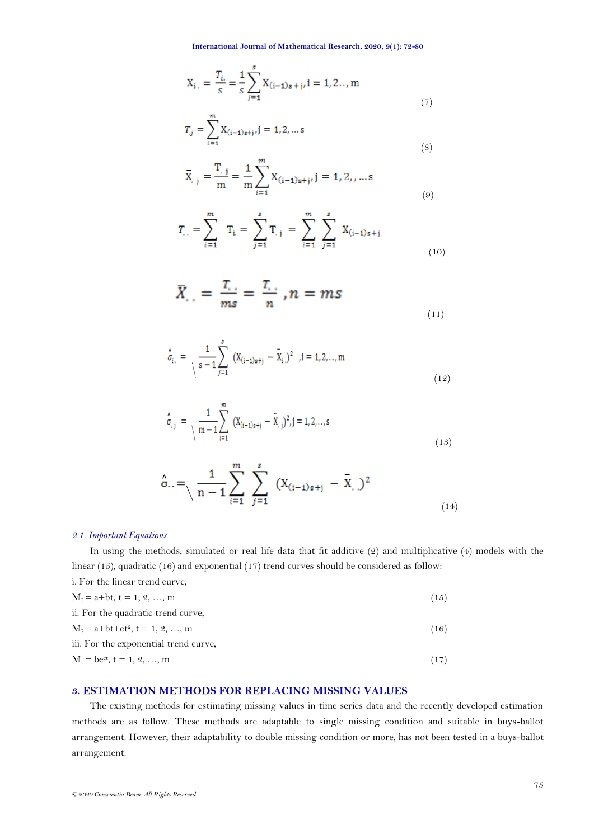**International Journal of Mathematical Research, 2020, 9(1): 72-80**

$$
X_{i.} = \frac{T_{i.}}{s} = \frac{1}{s} \sum_{j=1}^{s} X_{(i-1)s+j}, i = 1, 2..., m
$$
\n(7)

$$
T_{.j} = \sum_{i=1}^{m} X_{(i-1)s+j}, j = 1, 2, \dots s
$$
\n(8)

$$
\bar{X}_{.j} = \frac{T_{.j}}{m} = \frac{1}{m} \sum_{i=1}^{m} X_{(i-1)s+j}, j = 1, 2, ..., s
$$
\n(9)

$$
T_{i} = \sum_{i=1}^{m} T_{i} = \sum_{j=1}^{s} T_{i,j} = \sum_{i=1}^{m} \sum_{j=1}^{s} X_{(i-1)s+j}
$$
(10)

$$
\bar{X}_{\cdot,\cdot} = \frac{T_{\cdot,\cdot}}{ms} = \frac{T_{\cdot,\cdot}}{n}, n = ms
$$
\n(11)

$$
\hat{\sigma}_{i.} = \sqrt{\frac{1}{s-1} \sum_{j=1}^{s} (X_{(i-1)s+j} - \bar{X}_{i.})^2}, i = 1, 2, ..., m
$$
\n(12)

$$
\hat{\sigma}_{,j} = \sqrt{\frac{1}{m-1} \sum_{i=1}^{m} (X_{(i-1)s+j} - \bar{X}_{,j})^2, j = 1, 2, ..., s}
$$
\n(13)

$$
\hat{\sigma}_{\cdot \cdot} = \sqrt{\frac{1}{n-1} \sum_{i=1}^{m} \sum_{j=1}^{s} (X_{(i-1)s+j} - \bar{X}_{\cdot \cdot})^2}
$$
\n(14)

## *2.1. Important Equations*

<span id="page-3-0"></span> $\mathsf{r}$ 

In using the methods, simulated or real life data that fit additive (2) and multiplicative (4) models with the linear (15), quadratic (16) and exponential (17) trend curves should be considered as follow:

| (15) |
|------|
|      |
| (16) |
|      |
| (17) |
|      |

# **3. ESTIMATION METHODS FOR REPLACING MISSING VALUES**

The existing methods for estimating missing values in time series data and the recently developed estimation methods are as follow. These methods are adaptable to single missing condition and suitable in buys-ballot arrangement. However, their adaptability to double missing condition or more, has not been tested in a buys-ballot arrangement.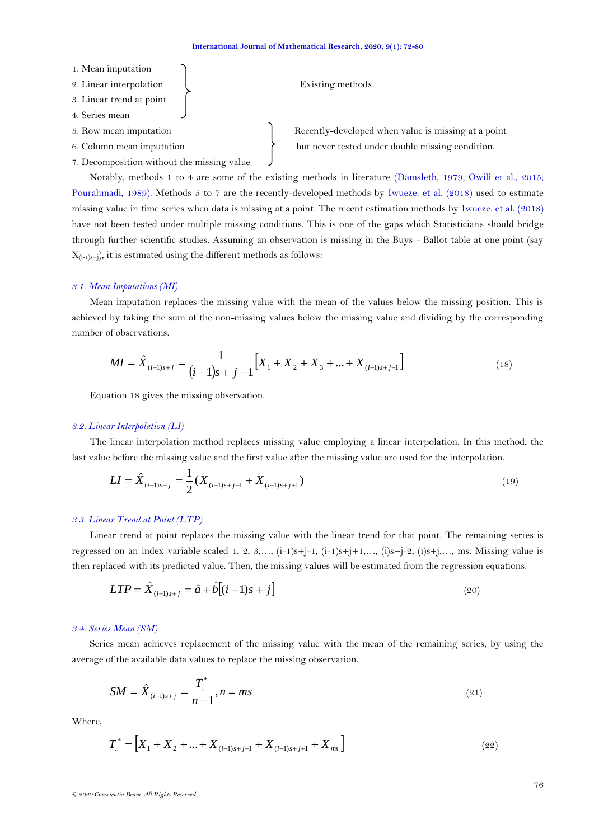- 1. Mean imputation 2. Linear interpolation and the existing methods 3. Linear trend at point 4. Series mean
- 
- 
- 7. Decomposition without the missing value

5. Row mean imputation Recently-developed when value is missing at a point 6. Column mean imputation  $\downarrow$  but never tested under double missing condition.

Notably, methods 1 to 4 are some of the existing methods in literature [\(Damsleth, 1979;](#page-7-6) [Owili et al., 2015;](#page-7-2) [Pourahmadi, 1989\)](#page-7-2). Methods 5 to 7 are the recently-developed methods by [Iwueze. et al. \(2018\)](#page-7-2) used to estimate missing value in time series when data is missing at a point. The recent estimation methods by [Iwueze. et al. \(2018\)](#page-7-2) have not been tested under multiple missing conditions. This is one of the gaps which Statisticians should bridge through further scientific studies. Assuming an observation is missing in the Buys - Ballot table at one point (say  $X_{(i-1)s+j}$ , it is estimated using the different methods as follows:

### *3.1. Mean Imputations (MI)*

Mean imputation replaces the missing value with the mean of the values below the missing position. This is achieved by taking the sum of the non-missing values below the missing value and dividing by the corresponding number of observations.

$$
MI = \hat{X}_{(i-1)s+j} = \frac{1}{(i-1)s+j-1} \Big[ X_1 + X_2 + X_3 + \dots + X_{(i-1)s+j-1} \Big] \tag{18}
$$

Equation 18 gives the missing observation.

### *3.2. Linear Interpolation (LI)*

The linear interpolation method replaces missing value employing a linear interpolation. In this method, the last value before the missing value and the first value after the missing value are used for the interpolation.

$$
LI = \hat{X}_{(i-1)s+j} = \frac{1}{2} (X_{(i-1)s+j-1} + X_{(i-1)s+j+1})
$$
\n(19)

## *3.3. Linear Trend at Point (LTP)*

Linear trend at point replaces the missing value with the linear trend for that point. The remaining series is regressed on an index variable scaled 1, 2, 3,…,  $(i-1)s+j-1$ ,  $(i-1)s+j+1,..., (i)s+j-2$ ,  $(i)s+j,..., ms$ . Missing value is then replaced with its predicted value. Then, the missing values will be estimated from the regression equations.

$$
LTP = \hat{X}_{(i-1)s+j} = \hat{a} + \hat{b}[(i-1)s+j]
$$
\n(20)

## *3.4. Series Mean (SM)*

Series mean achieves replacement of the missing value with the mean of the remaining series, by using the average of the available data values to replace the missing observation.

$$
SM = \hat{X}_{(i-1)s+j} = \frac{T^*}{n-1}, n = ms
$$
\n(21)

Where,

$$
T_{..}^* = \left[ X_1 + X_2 + ... + X_{(i-1)s+j-1} + X_{(i-1)s+j+1} + X_{ms} \right]
$$
\n(22)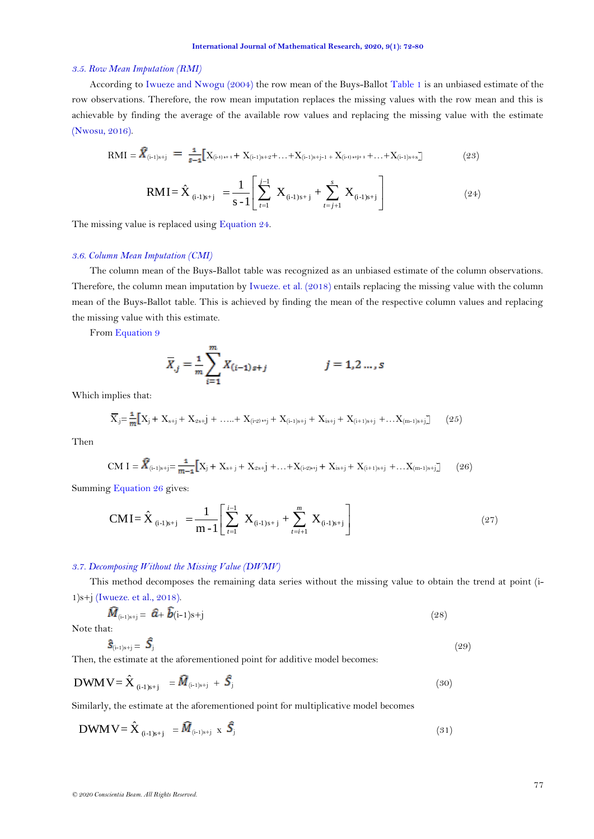## *3.5. Row Mean Imputation (RMI)*

According to [Iwueze and Nwogu \(2004\)](#page-7-4) the row mean of the Buys-Ballot [Table 1](#page-2-0) is an unbiased estimate of the row observations. Therefore, the row mean imputation replaces the missing values with the row mean and this is achievable by finding the average of the available row values and replacing the missing value with the estimate [\(Nwosu, 2016\)](#page-7-2).

$$
RMI = \hat{X}_{(i-1)s+j} = \frac{1}{s-1} [X_{(i-1)s+1} + X_{(i-1)s+2} + ... + X_{(i-1)s+j-1} + X_{(i-1)s+j} + ... + X_{(i-1)s+s}]
$$
(23)  

$$
RMI = \hat{X}_{(i-1)s+j} = \frac{1}{s-1} \left[ \sum_{t=1}^{j-1} X_{(i-1)s+j} + \sum_{t=j+1}^{s} X_{(i-1)s+j} \right]
$$
(24)

The missing value is replaced using [Equation 24.](#page-5-0)

## *3.6. Column Mean Imputation (CMI)*

The column mean of the Buys-Ballot table was recognized as an unbiased estimate of the column observations. Therefore, the column mean imputation by [Iwueze. et al. \(2018\)](#page-7-2) entails replacing the missing value with the column mean of the Buys-Ballot table. This is achieved by finding the mean of the respective column values and replacing the missing value with this estimate.

From [Equation 9](#page-3-0)

<span id="page-5-0"></span>
$$
\overline{X}_{.j} = \frac{1}{m} \sum_{i=1}^{m} X_{(i-1)s+j} \qquad j = 1, 2 \dots, s
$$

Which implies that:

$$
\overline{X}_{j} = \frac{1}{m} \Big[ X_{j} + X_{s+j} + X_{2s+j} + \ldots + X_{(i-2)s+j} + X_{(i-1)s+j} + X_{is+j} + X_{(i+1)s+j} + \ldots + X_{(m-1)s+j} \Big] \tag{25}
$$

Then

$$
CM I = \widehat{X}_{(i-1)s+j} = \frac{1}{m-1} \Big[ X_j + X_{s+j} + X_{2s+j} + \ldots + X_{(i+2)s+j} + X_{is+j} + X_{(i+1)s+j} + \ldots + X_{(m-1)s+j} \Big] \tag{26}
$$

Summing [Equation 26](#page-5-1) gives:

$$
CMI = \hat{X}_{(i-1)s+j} = \frac{1}{m-1} \left[ \sum_{t=1}^{i-1} X_{(i-1)s+j} + \sum_{t=i+1}^{m} X_{(i-1)s+j} \right]
$$
(27)

## *3.7. Decomposing Without the Missing Value (DWMV)*

<span id="page-5-1"></span>This method decomposes the remaining data series without the missing value to obtain the trend at point (i-1)s+j [\(Iwueze. et al., 2018\)](#page-7-2).

$$
\tilde{M}_{\text{(i-1)s+j}} = \hat{a} + \tilde{b}\text{(i-1)s+j} \tag{28}
$$

Note that:

$$
\hat{\mathbf{S}}_{\text{(i-1)s+j}} = \hat{\mathbf{S}}_{\text{j}} \tag{29}
$$

Then, the estimate at the aforementioned point for additive model becomes:

$$
DWM V = \hat{X}_{(i-1)s+j} = \hat{M}_{(i-1)s+j} + \hat{S}_j
$$
\n(30)

Similarly, the estimate at the aforementioned point for multiplicative model becomes

$$
DWMV = \hat{X}_{(i-1)s+j} = \hat{M}_{(i-1)s+j} \times \hat{S}_j
$$
\n(31)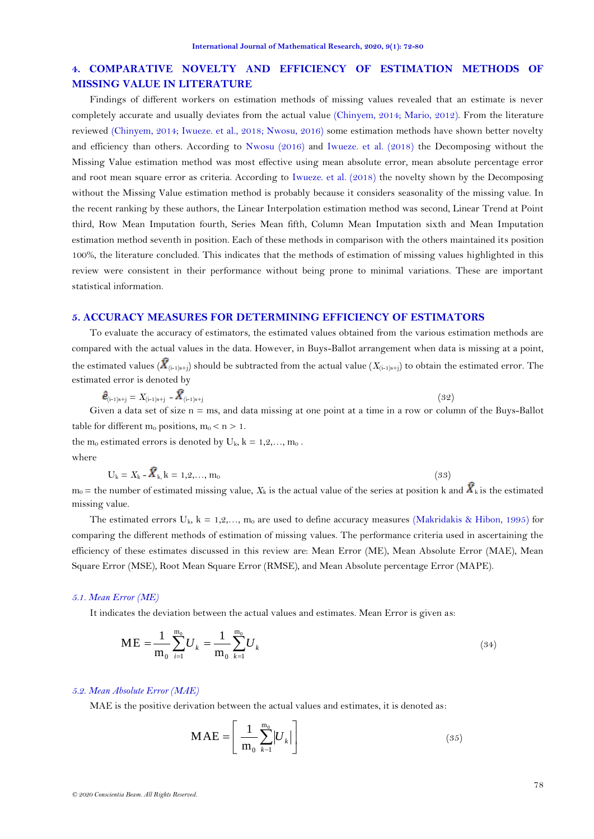# **4. COMPARATIVE NOVELTY AND EFFICIENCY OF ESTIMATION METHODS OF MISSING VALUE IN LITERATURE**

Findings of different workers on estimation methods of missing values revealed that an estimate is never completely accurate and usually deviates from the actual value [\(Chinyem, 2014;](#page-7-7) [Mario, 2012\)](#page-7-2). From the literature reviewed [\(Chinyem, 2014;](#page-7-7) [Iwueze. et al., 2018; Nwosu, 2016\)](#page-7-2) some estimation methods have shown better novelty and efficiency than others. According to [Nwosu \(2016\)](#page-7-2) and [Iwueze. et al. \(2018\)](#page-7-2) the Decomposing without the Missing Value estimation method was most effective using mean absolute error, mean absolute percentage error and root mean square error as criteria. According to [Iwueze. et al. \(2018\)](#page-7-2) the novelty shown by the Decomposing without the Missing Value estimation method is probably because it considers seasonality of the missing value. In the recent ranking by these authors, the Linear Interpolation estimation method was second, Linear Trend at Point third, Row Mean Imputation fourth, Series Mean fifth, Column Mean Imputation sixth and Mean Imputation estimation method seventh in position. Each of these methods in comparison with the others maintained its position 100%, the literature concluded. This indicates that the methods of estimation of missing values highlighted in this review were consistent in their performance without being prone to minimal variations. These are important statistical information.

## **5. ACCURACY MEASURES FOR DETERMINING EFFICIENCY OF ESTIMATORS**

To evaluate the accuracy of estimators, the estimated values obtained from the various estimation methods are compared with the actual values in the data. However, in Buys-Ballot arrangement when data is missing at a point, the estimated values ( $\overline{X}_{(i-1)s+i}$ ) should be subtracted from the actual value ( $X_{(i-1)s+i}$ ) to obtain the estimated error. The estimated error is denoted by

$$
\hat{\boldsymbol{e}}_{\left(i-1\right)s+j} = X_{\left(i-1\right)s+j} - \hat{X}_{\left(i-1\right)s+j} \tag{32}
$$

Given a data set of size  $n = ms$ , and data missing at one point at a time in a row or column of the Buys-Ballot table for different  $m_0$  positions,  $m_0 < n > 1$ .

the  $m_0$  estimated errors is denoted by  $U_k$ ,  $k = 1, 2, \ldots, m_0$ . where

$$
U_k = X_k - \bar{X}_{k,k} = 1, 2, ..., m_0
$$
\n(33)

 $m_0$  = the number of estimated missing value,  $X_k$  is the actual value of the series at position k and  $\hat{X}_k$  is the estimated missing value.

The estimated errors  $U_k$ ,  $k = 1, 2, \ldots, m_0$  are used to define accuracy measures [\(Makridakis & Hibon, 1995\)](#page-7-2) for comparing the different methods of estimation of missing values. The performance criteria used in ascertaining the efficiency of these estimates discussed in this review are: Mean Error (ME), Mean Absolute Error (MAE), Mean Square Error (MSE), Root Mean Square Error (RMSE), and Mean Absolute percentage Error (MAPE).

### *5.1. Mean Error (ME)*

It indicates the deviation between the actual values and estimates. Mean Error is given as:

$$
ME = \frac{1}{m_0} \sum_{i=1}^{m_0} U_k = \frac{1}{m_0} \sum_{k=1}^{m_0} U_k
$$
\n(34)

### *5.2. Mean Absolute Error (MAE)*

MAE is the positive derivation between the actual values and estimates, it is denoted as:

$$
\mathbf{MAE} = \left[ \frac{1}{m_0} \sum_{k=1}^{m_0} |U_k| \right] \tag{35}
$$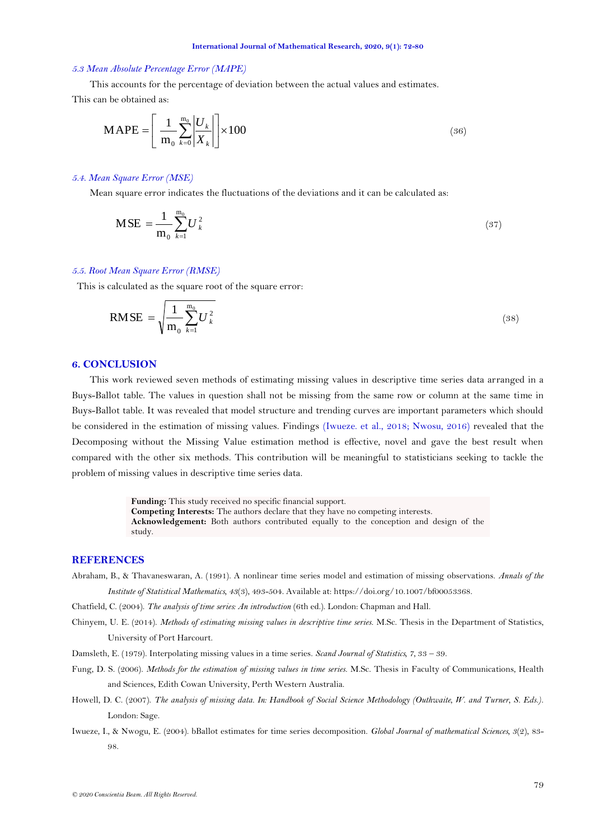#### <span id="page-7-2"></span>*5.3 Mean Absolute Percentage Error (MAPE)*

This accounts for the percentage of deviation between the actual values and estimates.

This can be obtained as:

$$
\mathbf{MAPE} = \left[ \frac{1}{m_0} \sum_{k=0}^{m_0} \left| \frac{U_k}{X_k} \right| \right] \times 100 \tag{36}
$$

### *5.4. Mean Square Error (MSE)*

Mean square error indicates the fluctuations of the deviations and it can be calculated as:

$$
\text{MSE} = \frac{1}{m_0} \sum_{k=1}^{m_0} U_k^2 \tag{37}
$$

### *5.5. Root Mean Square Error (RMSE)*

This is calculated as the square root of the square error:

$$
RMSE = \sqrt{\frac{1}{m_0} \sum_{k=1}^{m_0} U_k^2}
$$
 (38)

## **6. CONCLUSION**

This work reviewed seven methods of estimating missing values in descriptive time series data arranged in a Buys-Ballot table. The values in question shall not be missing from the same row or column at the same time in Buys-Ballot table. It was revealed that model structure and trending curves are important parameters which should be considered in the estimation of missing values. Findings [\(Iwueze. et al., 2018; Nwosu, 2016\)](#page-7-2) revealed that the Decomposing without the Missing Value estimation method is effective, novel and gave the best result when compared with the other six methods. This contribution will be meaningful to statisticians seeking to tackle the problem of missing values in descriptive time series data.

> **Funding:** This study received no specific financial support. **Competing Interests:** The authors declare that they have no competing interests. **Acknowledgement:** Both authors contributed equally to the conception and design of the study.

## **REFERENCES**

<span id="page-7-3"></span>Abraham, B., & Thavaneswaran, A. (1991). A nonlinear time series model and estimation of missing observations. *Annals of the Institute of Statistical Mathematics, 43*(3), 493-504. Available at: https://doi.org/10.1007/bf00053368.

<span id="page-7-5"></span>Chatfield, C. (2004). *The analysis of time series: An introduction* (6th ed.). London: Chapman and Hall.

- <span id="page-7-7"></span>Chinyem, U. E. (2014). *Methods of estimating missing values in descriptive time series.* M.Sc. Thesis in the Department of Statistics, University of Port Harcourt.
- <span id="page-7-6"></span>Damsleth, E. (1979). Interpolating missing values in a time series. *Scand Journal of Statistics, 7*, 33 – 39.
- <span id="page-7-0"></span>Fung, D. S. (2006). *Methods for the estimation of missing values in time series.* M.Sc. Thesis in Faculty of Communications, Health and Sciences, Edith Cowan University, Perth Western Australia.
- <span id="page-7-1"></span>Howell, D. C. (2007). *The analysis of missing data. In: Handbook of Social Science Methodology (Outhwaite, W. and Turner, S. Eds.)*. London: Sage.
- <span id="page-7-4"></span>Iwueze, I., & Nwogu, E. (2004). bBallot estimates for time series decomposition. *Global Journal of mathematical Sciences, 3*(2), 83- 98.